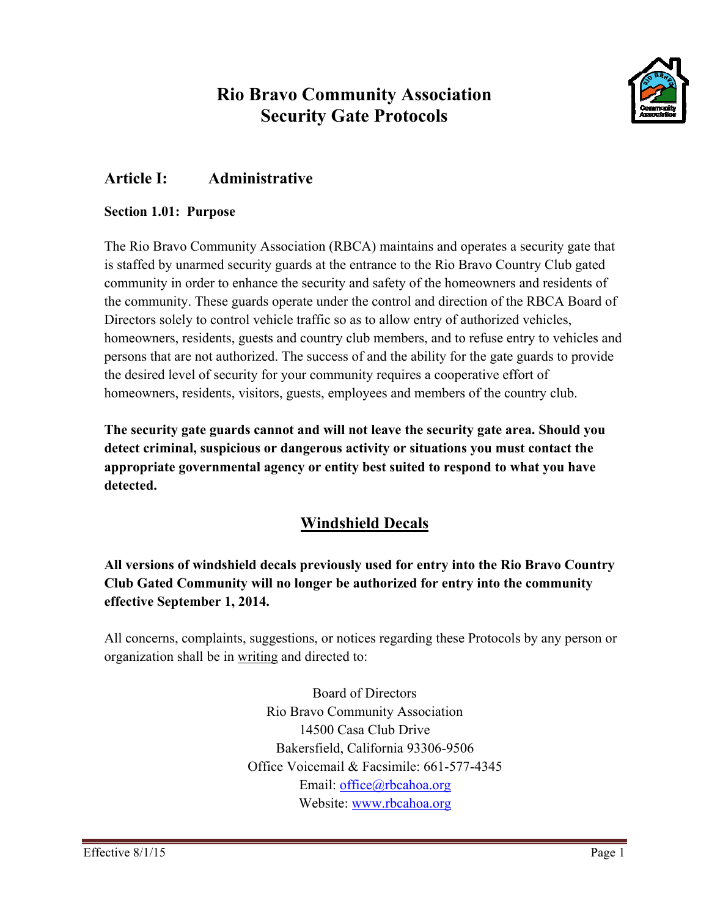# **Rio Bravo Community Association Security Gate Protocols**



# **Article I:** Administrative

# **Section 1.01: Purpose**

The Rio Bravo Community Association (RBCA) maintains and operates a security gate that is staffed by unarmed security guards at the entrance to the Rio Bravo Country Club gated community in order to enhance the security and safety of the homeowners and residents of the community. These guards operate under the control and direction of the RBCA Board of Directors solely to control vehicle traffic so as to allow entry of authorized vehicles, homeowners, residents, guests and country club members, and to refuse entry to vehicles and persons that are not authorized. The success of and the ability for the gate guards to provide the desired level of security for your community requires a cooperative effort of homeowners, residents, visitors, guests, employees and members of the country club.

The security gate guards cannot and will not leave the security gate area. Should you detect criminal, suspicious or dangerous activity or situations you must contact the appropriate governmental agency or entity best suited to respond to what you have detected.

# **Windshield Decals**

All versions of windshield decals previously used for entry into the Rio Bravo Country Club Gated Community will no longer be authorized for entry into the community effective September 1, 2014.

All concerns, complaints, suggestions, or notices regarding these Protocols by any person or organization shall be in writing and directed to:

> **Board of Directors** Rio Bravo Community Association 14500 Casa Club Drive Bakersfield, California 93306-9506 Office Voicemail & Facsimile: 661-577-4345 Email:  $of\text{fice}(\widehat{a})$ rbcahoa.org Website: www.rbcahoa.org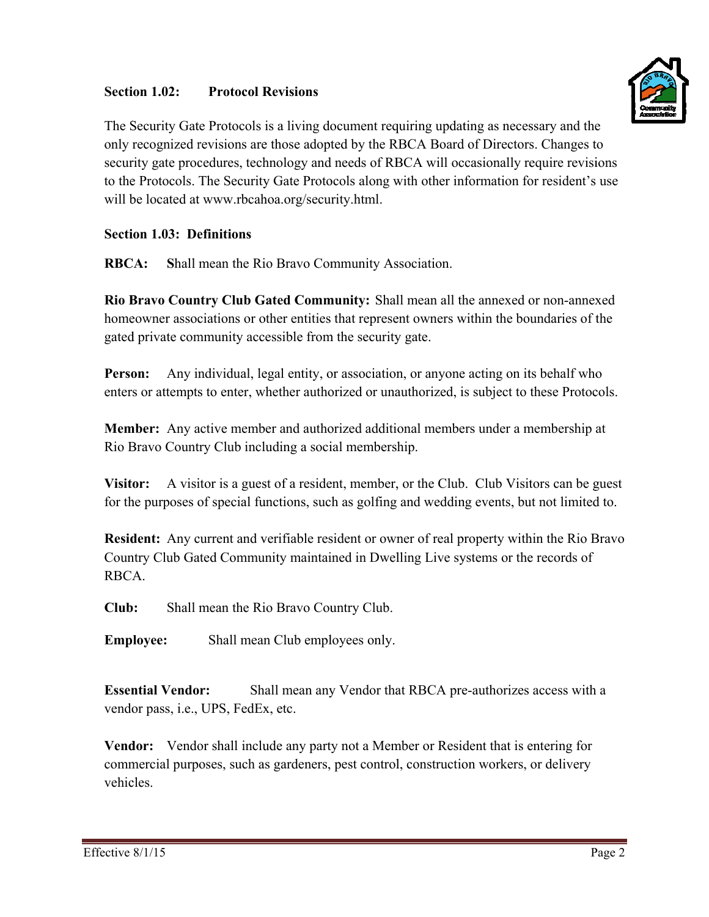### Section 1.02: **Protocol Revisions**



The Security Gate Protocols is a living document requiring updating as necessary and the only recognized revisions are those adopted by the RBCA Board of Directors. Changes to security gate procedures, technology and needs of RBCA will occasionally require revisions to the Protocols. The Security Gate Protocols along with other information for resident's use will be located at www.rbcahoa.org/security.html.

# **Section 1.03: Definitions**

**RBCA:** Shall mean the Rio Bravo Community Association.

Rio Bravo Country Club Gated Community: Shall mean all the annexed or non-annexed homeowner associations or other entities that represent owners within the boundaries of the gated private community accessible from the security gate.

Person: Any individual, legal entity, or association, or anyone acting on its behalf who enters or attempts to enter, whether authorized or unauthorized, is subject to these Protocols.

**Member:** Any active member and authorized additional members under a membership at Rio Bravo Country Club including a social membership.

A visitor is a guest of a resident, member, or the Club. Club Visitors can be guest Visitor: for the purposes of special functions, such as golfing and wedding events, but not limited to.

Resident: Any current and verifiable resident or owner of real property within the Rio Bravo Country Club Gated Community maintained in Dwelling Live systems or the records of RBCA.

 $Cl<sub>u</sub>$ <sub>h</sub>: Shall mean the Rio Bravo Country Club.

Shall mean Club employees only. **Emplovee:** 

**Essential Vendor:** Shall mean any Vendor that RBCA pre-authorizes access with a vendor pass, i.e., UPS, FedEx, etc.

**Vendor:** Vendor shall include any party not a Member or Resident that is entering for commercial purposes, such as gardeners, pest control, construction workers, or delivery vehicles.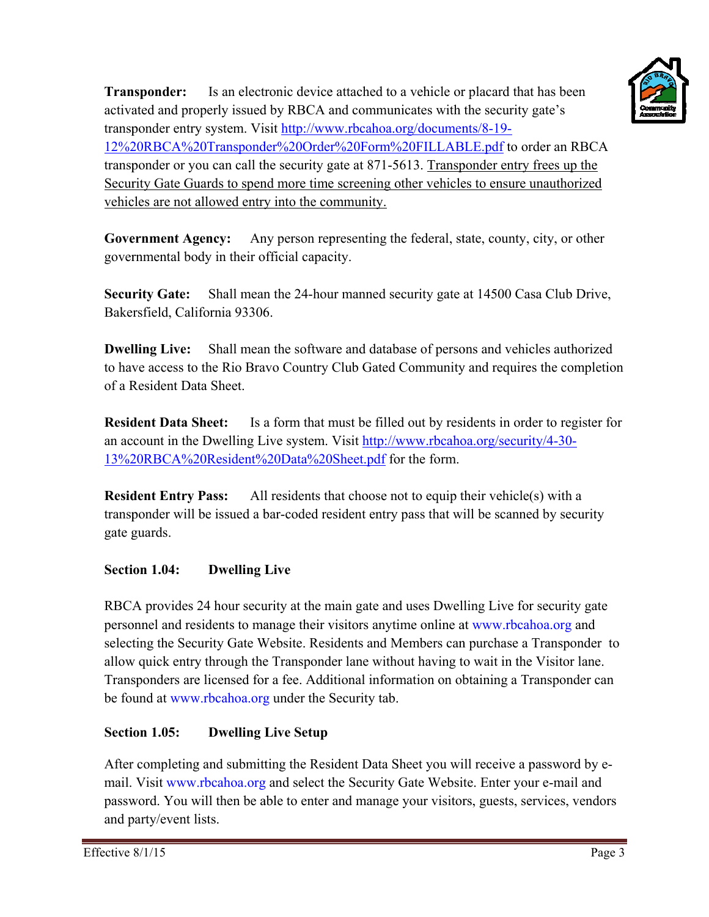

Is an electronic device attached to a vehicle or placard that has been **Transponder:** activated and properly issued by RBCA and communicates with the security gate's transponder entry system. Visit http://www.rbcahoa.org/documents/8-19-12%20RBCA%20Transponder%20Order%20Form%20FILLABLE.pdf to order an RBCA transponder or you can call the security gate at 871-5613. Transponder entry frees up the Security Gate Guards to spend more time screening other vehicles to ensure unauthorized vehicles are not allowed entry into the community.

**Government Agency:** Any person representing the federal, state, county, city, or other governmental body in their official capacity.

Shall mean the 24-hour manned security gate at 14500 Casa Club Drive, **Security Gate:** Bakersfield, California 93306.

**Dwelling Live:** Shall mean the software and database of persons and vehicles authorized to have access to the Rio Bravo Country Club Gated Community and requires the completion of a Resident Data Sheet.

**Resident Data Sheet:** Is a form that must be filled out by residents in order to register for an account in the Dwelling Live system. Visit http://www.rbcahoa.org/security/4-30-13%20RBCA%20Resident%20Data%20Sheet.pdf for the form.

**Resident Entry Pass:** All residents that choose not to equip their vehicle(s) with a transponder will be issued a bar-coded resident entry pass that will be scanned by security gate guards.

## Section 1.04: **Dwelling Live**

RBCA provides 24 hour security at the main gate and uses Dwelling Live for security gate personnel and residents to manage their visitors anytime online at www.rbcahoa.org and selecting the Security Gate Website. Residents and Members can purchase a Transponder to allow quick entry through the Transponder lane without having to wait in the Visitor lane. Transponders are licensed for a fee. Additional information on obtaining a Transponder can be found at www.rbcahoa.org under the Security tab.

# Section 1.05: **Dwelling Live Setup**

After completing and submitting the Resident Data Sheet you will receive a password by email. Visit www.rbcahoa.org and select the Security Gate Website. Enter your e-mail and password. You will then be able to enter and manage your visitors, guests, services, vendors and party/event lists.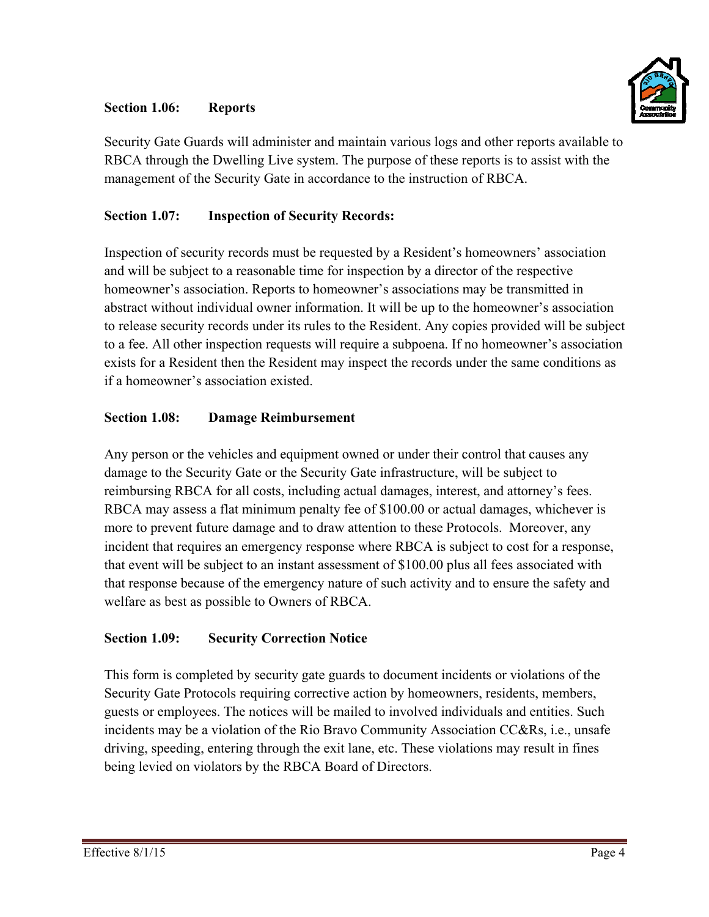## Section 1.06: **Reports**



Security Gate Guards will administer and maintain various logs and other reports available to RBCA through the Dwelling Live system. The purpose of these reports is to assist with the management of the Security Gate in accordance to the instruction of RBCA.

# Section 1.07: **Inspection of Security Records:**

Inspection of security records must be requested by a Resident's homeowners' association and will be subject to a reasonable time for inspection by a director of the respective homeowner's association. Reports to homeowner's associations may be transmitted in abstract without individual owner information. It will be up to the homeowner's association to release security records under its rules to the Resident. Any copies provided will be subject to a fee. All other inspection requests will require a subpoena. If no homeowner's association exists for a Resident then the Resident may inspect the records under the same conditions as if a homeowner's association existed.

### Section 1.08: **Damage Reimbursement**

Any person or the vehicles and equipment owned or under their control that causes any damage to the Security Gate or the Security Gate infrastructure, will be subject to reimbursing RBCA for all costs, including actual damages, interest, and attorney's fees. RBCA may assess a flat minimum penalty fee of \$100.00 or actual damages, whichever is more to prevent future damage and to draw attention to these Protocols. Moreover, any incident that requires an emergency response where RBCA is subject to cost for a response, that event will be subject to an instant assessment of \$100.00 plus all fees associated with that response because of the emergency nature of such activity and to ensure the safety and welfare as best as possible to Owners of RBCA.

#### **Section 1.09: Security Correction Notice**

This form is completed by security gate guards to document incidents or violations of the Security Gate Protocols requiring corrective action by homeowners, residents, members, guests or employees. The notices will be mailed to involved individuals and entities. Such incidents may be a violation of the Rio Bravo Community Association CC&Rs, *i.e.*, unsafe driving, speeding, entering through the exit lane, etc. These violations may result in fines being levied on violators by the RBCA Board of Directors.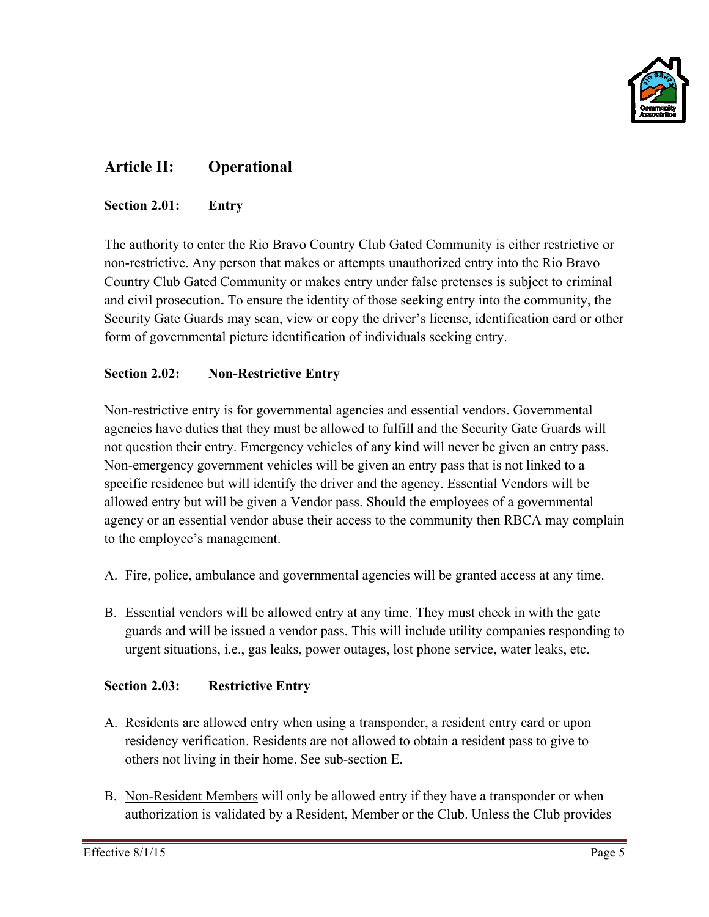

# **Article II: Operational**

#### Section 2.01: **Entry**

The authority to enter the Rio Bravo Country Club Gated Community is either restrictive or non-restrictive. Any person that makes or attempts unauthorized entry into the Rio Bravo Country Club Gated Community or makes entry under false pretenses is subject to criminal and civil prosecution. To ensure the identity of those seeking entry into the community, the Security Gate Guards may scan, view or copy the driver's license, identification card or other form of governmental picture identification of individuals seeking entry.

## Section 2.02: **Non-Restrictive Entry**

Non-restrictive entry is for governmental agencies and essential vendors. Governmental agencies have duties that they must be allowed to fulfill and the Security Gate Guards will not question their entry. Emergency vehicles of any kind will never be given an entry pass. Non-emergency government vehicles will be given an entry pass that is not linked to a specific residence but will identify the driver and the agency. Essential Vendors will be allowed entry but will be given a Vendor pass. Should the employees of a governmental agency or an essential vendor abuse their access to the community then RBCA may complain to the employee's management.

- A. Fire, police, ambulance and governmental agencies will be granted access at any time.
- B. Essential vendors will be allowed entry at any time. They must check in with the gate guards and will be issued a vendor pass. This will include utility companies responding to urgent situations, i.e., gas leaks, power outages, lost phone service, water leaks, etc.

## **Section 2.03: Restrictive Entry**

- A. Residents are allowed entry when using a transponder, a resident entry card or upon residency verification. Residents are not allowed to obtain a resident pass to give to others not living in their home. See sub-section E.
- B. Non-Resident Members will only be allowed entry if they have a transponder or when authorization is validated by a Resident, Member or the Club. Unless the Club provides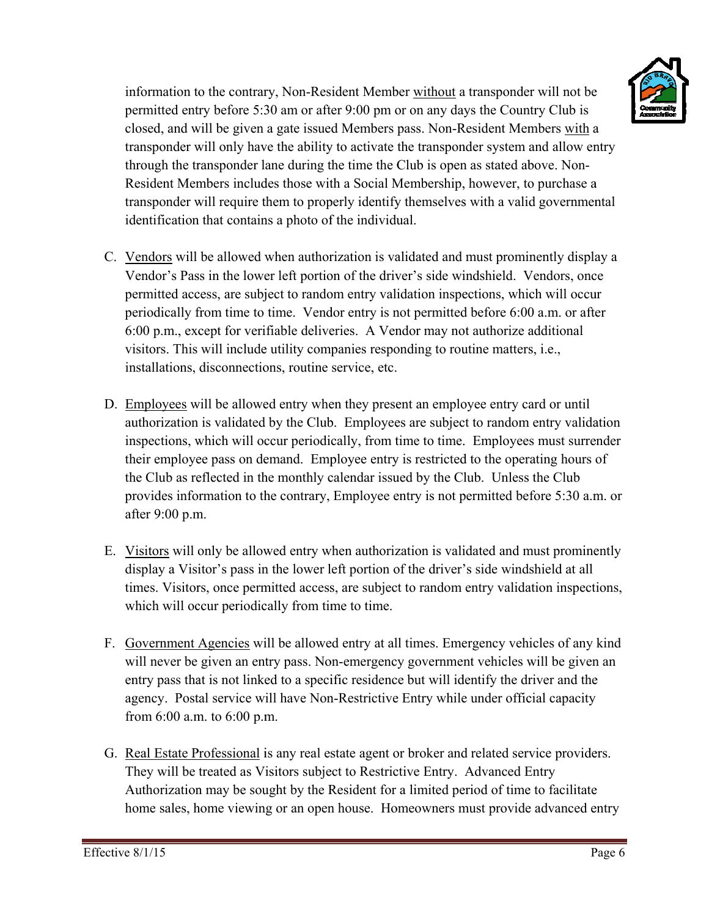

information to the contrary, Non-Resident Member without a transponder will not be permitted entry before 5:30 am or after 9:00 pm or on any days the Country Club is closed, and will be given a gate issued Members pass. Non-Resident Members with a information to the contrary, Non-Resident Member <u>without</u> a transponder will not be<br>permitted entry before 5:30 am or after 9:00 pm or on any days the Country Club is<br>closed, and will be given a gate issued Members pass. through the transponder lane during the time the Club is open as stated above. Non-Resident Members includes those with a Social Membership, however, to purchase a transponder will require them to properly identify themselves with a valid governmental identification that contains a photo of the individual.

- C. Vendors will be allowed when authorization is validated and must prominently display a Vendor's Pass in the lower left portion of the driver's side windshield. Vendors, once permitted access, are subject to random entry validation inspections, which will occur periodically from time to time. Vendor entry is not permitted before 6:00 a.m. or after 6:00 p.m., except for verifiable deliveries. A Vendor may not authorize additional visitors. This will include utility companies responding to routine matters, i.e., installations, disconnections, routine service, etc.
- D. Employees will be allowed entry when they present an employee entry card or until authorization is validated by the Club. Employees are subject to random entry validation inspections, which will occur periodically, from time to time. Employees must surrender their employee pass on demand. Employee entry is restricted to the operating hours of the Club as reflected in the monthly calendar issued by the Club. Unless the Club provides information to the contrary, Employee entry is not permitted before 5:30 a.m. or af fter 9:00 p.m m.
- E. Visitors will only be allowed entry when authorization is validated and must prominently display a Visitor's pass in the lower left portion of the driver's side windshield at all times. Visitors, once permitted access, are subject to random entry validation inspections, which will occur periodically from time to time.
- F. Government Agencies will be allowed entry at all times. Emergency vehicles of any kind will never be given an entry pass. Non-emergency government vehicles will be given an entry pass that is not linked to a specific residence but will identify the driver and the agency. Postal service will have Non-Restrictive Entry while under official capacity from 6:00 a.m. to 6:00 p.m. entry pass that is not linked to a specific residence but will identify the driver and the agency. Postal service will have Non-Restrictive Entry while under official capacity from 6:00 a.m. to 6:00 p.m.<br>G. <u>Real Estate Pr</u>
- They will be treated as Visitors subject to Restrictive Entry. Advanced Entry Authorization may be sought by the Resident for a limited period of time to facilitate Authorization may be sought by the Resident for a limited period of time to facilitate<br>home sales, home viewing or an open house. Homeowners must provide advanced entry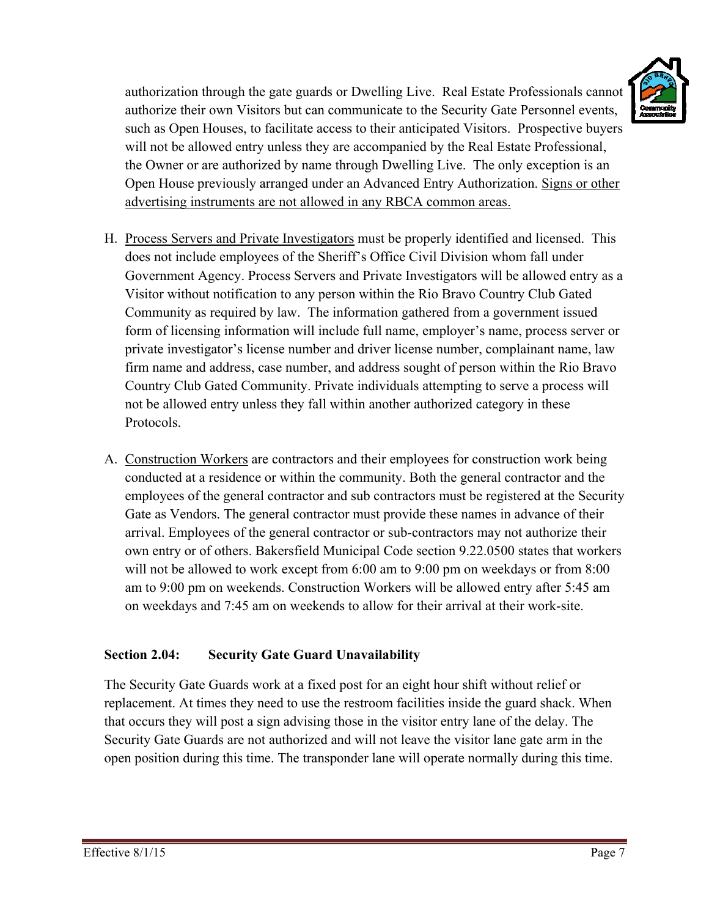

authorization through the gate guards or Dwelling Live. Real Estate Professionals cannot authorize their own Visitors but can communicate to the Security Gate Personnel events, such as Open Houses, to facilitate access to their anticipated Visitors. Prospective buyers will not be allowed entry unless they are accompanied by the Real Estate Professional, the Owner or are authorized by name through Dwelling Live. The only exception is an Open House previously arranged under an Advanced Entry Authorization. Signs or other advertising instruments are not allowed in any RBCA common areas.

- H. Process Servers and Private Investigators must be properly identified and licensed. This does not include employees of the Sheriff's Office Civil Division whom fall under Government Agency. Process Servers and Private Investigators will be allowed entry as a Visitor without notification to any person within the Rio Bravo Country Club Gated Community as required by law. The information gathered from a government issued form of licensing information will include full name, employer's name, process server or private investigator's license number and driver license number, complainant name, law firm name and address, case number, and address sought of person within the Rio Bravo Country Club Gated Community. Private individuals attempting to serve a process will not be allowed entry unless they fall within another authorized category in these Protocols.
- A. Construction Workers are contractors and their employees for construction work being conducted at a residence or within the community. Both the general contractor and the employees of the general contractor and sub contractors must be registered at the Security Gate as Vendors. The general contractor must provide these names in advance of their arrival. Employees of the general contractor or sub-contractors may not authorize their own entry or of others. Bakersfield Municipal Code section 9.22.0500 states that workers will not be allowed to work except from 6:00 am to 9:00 pm on weekdays or from 8:00 am to 9:00 pm on weekends. Construction Workers will be allowed entry after 5:45 am on weekdays and 7:45 am on weekends to allow for their arrival at their work-site.

## Section 2.04: **Security Gate Guard Unavailability**

The Security Gate Guards work at a fixed post for an eight hour shift without relief or replacement. At times they need to use the restroom facilities inside the guard shack. When that occurs they will post a sign advising those in the visitor entry lane of the delay. The Security Gate Guards are not authorized and will not leave the visitor lane gate arm in the open position during this time. The transponder lane will operate normally during this time.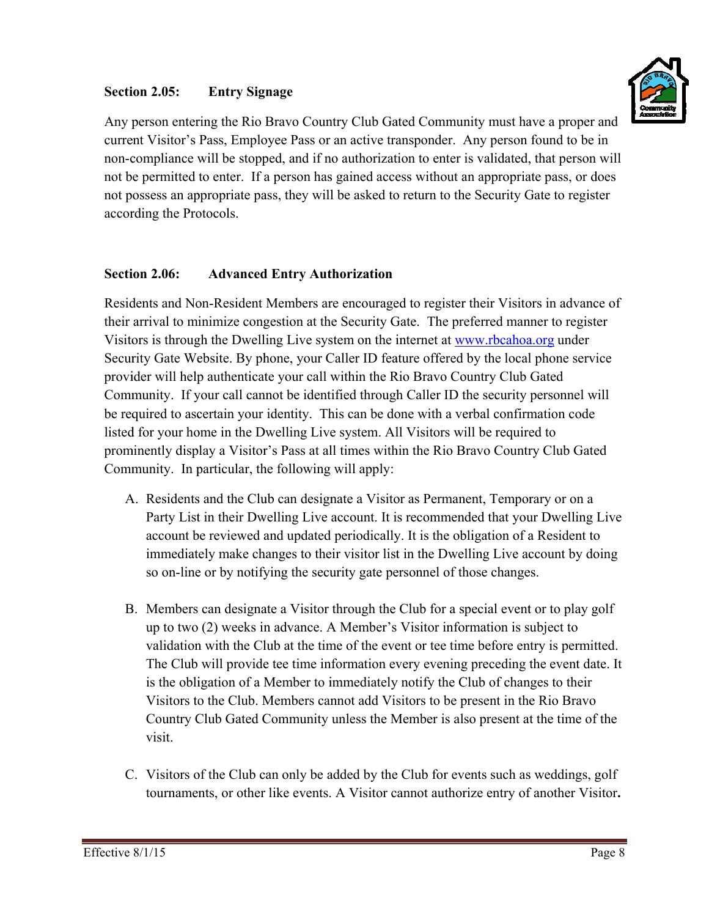### **Secti ion 2.05: Entry Signage**



Any person entering the Rio Bravo Country Club Gated Community must have a proper and current Visitor's Pass, Employee Pass or an active transponder. Any person found to be in non-compliance will be stopped, and if no authorization to enter is validated, that person will not be permitted to enter. If a person has gained access without an appropriate pass, or does not possess an appropriate pass, they will be asked to return to the Security Gate to register according the Protocols.

# **Section 2.06: Advanced Entry Authorization**

Residents and Non-Resident Members are encouraged to register their Visitors in advance of their arrival to minimize congestion at the Security Gate. The preferred manner to register Visitors is through the Dwelling Live system on the internet at www.rbcahoa.org under Security Gate Website. By phone, your Caller ID feature offered by the local phone service provider will help authenticate your call within the Rio Bravo Country Club Gated Community. If your call cannot be identified through Caller ID the security personnel will be required to ascertain your identity. This can be done with a verbal confirmation code listed for your home in the Dwelling Live system. All Visitors will be required to prominently display a Visitor's Pass at all times within the Rio Bravo Country Club Gated Community. In particular, the following will apply:

- A. Residents and the Club can designate a Visitor as Permanent, Temporary or on a Party List in their Dwelling Live account. It is recommended that your Dwelling Live account be reviewed and updated periodically. It is the obligation of a Resident to account be reviewed and updated periodically. It is the obligation of a Resident to<br>immediately make changes to their visitor list in the Dwelling Live account by doing so on-line or by notifying the security gate personnel of those changes.
- B. Members can designate a Visitor through the Club for a special event or to play golf up to two (2) weeks in advance. A Member's Visitor information is subject to validation with the Club at the time of the event or tee time before entry is permitted. The Club will provide tee time information every evening preceding the event date. It is the obligation of a Member to immediately notify the Club of changes to their Visitors to the Club. Members cannot add Visitors to be present in the Rio Bravo Country Club Gated Community unless the Member is also present at the time of the visit.
- C. Visitors of the Club can only be added by the Club for events such as weddings, golf tournaments, or other like events. A Visitor cannot authorize entry of another Visitor.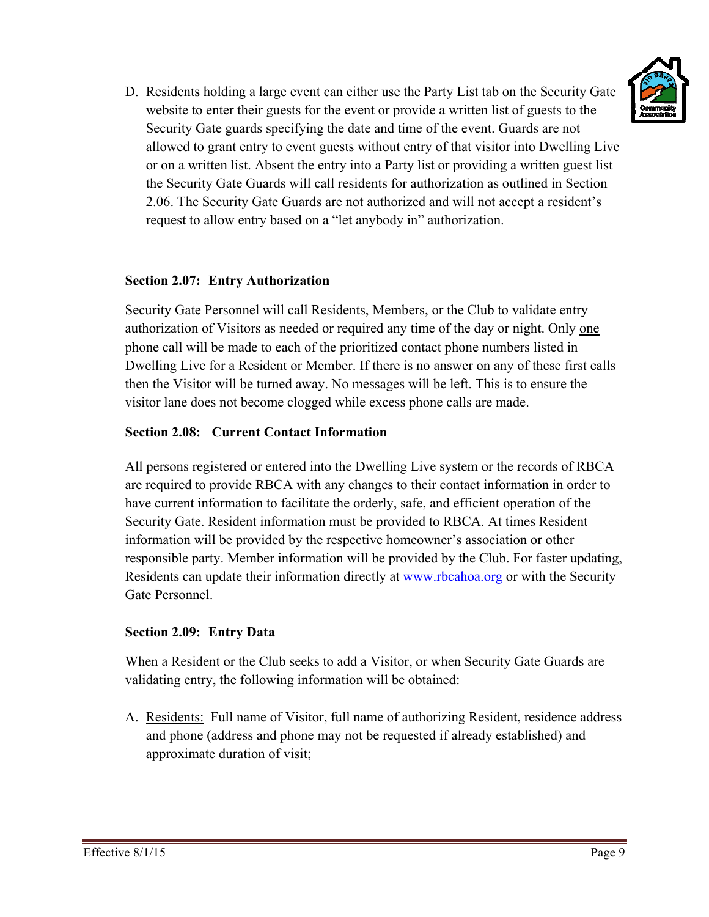

D. Residents holding a large event can either use the Party List tab on the Security Gate website to enter their guests for the event or provide a written list of guests to the Security Gate guards specifying the date and time of the event. Guards are not website to enter their guests for the event or provide a written list of guests to the<br>Security Gate guards specifying the date and time of the event. Guards are not<br>allowed to grant entry to event guests without entry of or on a written list. Absent the entry into a Party list or providing a written guest list the Security Gate Guards will call residents for authorization as outlined in Section 2.06. The Security Gate Guards are not authorized and will not accept a resident's request to allow entry based on a "let anybody in" authorization.

# **Section 2.07: Entry Authorization**

Security Gate Personnel will call Residents, Members, or the Club to validate entry authorization of Visitors as needed or required any time of the day or night. Only one phone call will be made to each of the prioritized contact phone numbers listed in authorization of Visitors as needed or required any time of the day or night. Only <u>one</u><br>phone call will be made to each of the prioritized contact phone numbers listed in<br>Dwelling Live for a Resident or Member. If there i then the Visitor will be turned away. No messages will be left. This is to ensure the visitor lane does not become clogged while excess phone calls are made.

# **Section 2.08: Current Contact Information**

All persons registered or entered into the Dwelling Live system or the records of RBCA are required to provide RBCA with any changes to their contact information in order to have current information to facilitate the orderly, safe, and efficient operation of the Security Gate. Resident information must be provided to RBCA. At times Resident information will be provided by the respective homeowner's association or other responsible party. Member information will be provided by the Club. For faster updating, Residents can update their information directly at www.rbcahoa.org or with the Security Gate Personnel.

# **Section 2.09: Entry Data**

When a Resident or the Club seeks to add a Visitor, or when Security Gate Guards are validating entry, the following information will be obtained:

A. Residents: Full name of Visitor, full name of authorizing Resident, residence address and phone (address and phone may not be requested if already established) and approximate duration of visit;